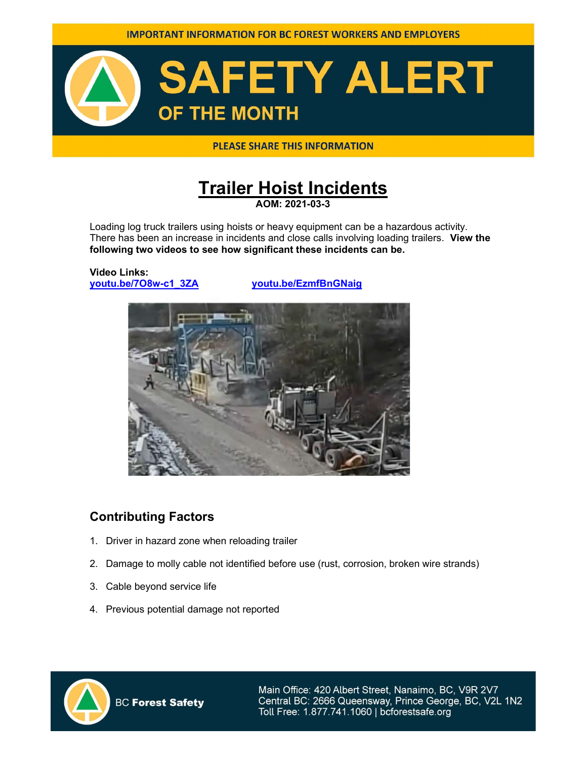

**PLEASE SHARE THIS INFORMATION** 

## **Trailer Hoist Incidents** AOM: 2021-03-3

Loading log truck trailers using hoists or heavy equipment can be a hazardous activity. There has been an increase in incidents and close calls involving loading trailers. View the following two videos to see how significant these incidents can be.

# Video Links:

youtu.be/7O8w-c1\_3ZA youtu.be/EzmfBnGNaig



#### Contributing Factors

- 1. Driver in hazard zone when reloading trailer
- 2. Damage to molly cable not identified before use (rust, corrosion, broken wire strands)
- 3. Cable beyond service life
- 4. Previous potential damage not reported



**BC Forest Safety** 

Main Office: 420 Albert Street, Nanaimo, BC, V9R 2V7 Central BC: 2666 Queensway, Prince George, BC, V2L 1N2 Toll Free: 1.877.741.1060 | bcforestsafe.org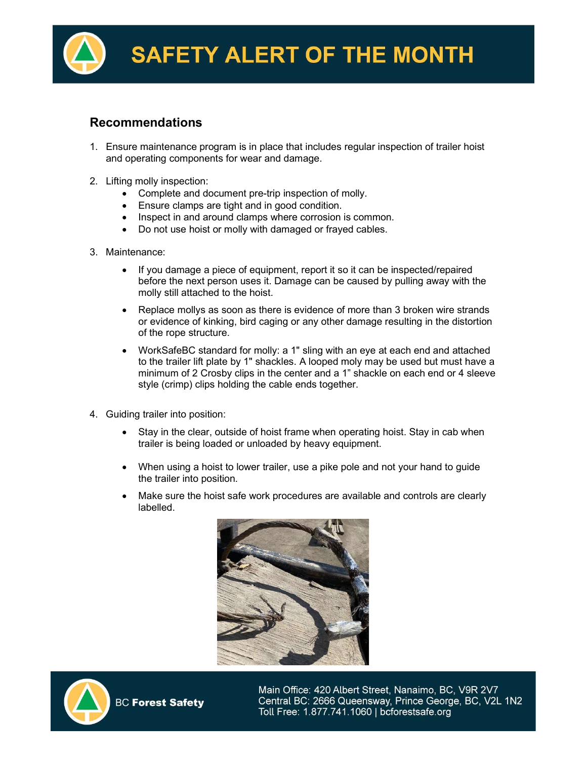

#### Recommendations

- 1. Ensure maintenance program is in place that includes regular inspection of trailer hoist and operating components for wear and damage.
- 2. Lifting molly inspection:
	- Complete and document pre-trip inspection of molly.
	- Ensure clamps are tight and in good condition.
	- Inspect in and around clamps where corrosion is common.
	- Do not use hoist or molly with damaged or frayed cables.
- 3. Maintenance:
	- If you damage a piece of equipment, report it so it can be inspected/repaired before the next person uses it. Damage can be caused by pulling away with the molly still attached to the hoist.
	- Replace mollys as soon as there is evidence of more than 3 broken wire strands or evidence of kinking, bird caging or any other damage resulting in the distortion of the rope structure.
	- WorkSafeBC standard for molly: a 1" sling with an eye at each end and attached to the trailer lift plate by 1" shackles. A looped moly may be used but must have a minimum of 2 Crosby clips in the center and a 1" shackle on each end or 4 sleeve style (crimp) clips holding the cable ends together.
- 4. Guiding trailer into position:
	- Stay in the clear, outside of hoist frame when operating hoist. Stay in cab when trailer is being loaded or unloaded by heavy equipment.
	- When using a hoist to lower trailer, use a pike pole and not your hand to guide the trailer into position.
	- Make sure the hoist safe work procedures are available and controls are clearly labelled.





Main Office: 420 Albert Street, Nanaimo, BC, V9R 2V7 Central BC: 2666 Queensway, Prince George, BC, V2L 1N2 Toll Free: 1.877.741.1060 | bcforestsafe.org